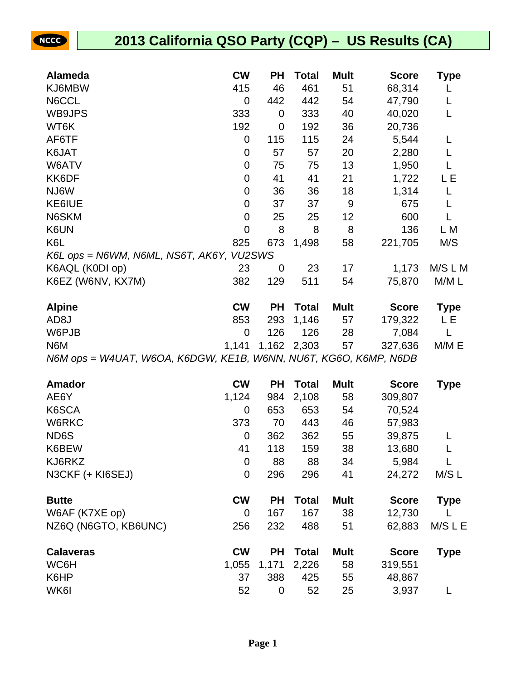**NCCC** 

| <b>Alameda</b>                           | <b>CW</b>      | <b>PH</b> | Total        | <b>Mult</b> | <b>Score</b> | <b>Type</b> |
|------------------------------------------|----------------|-----------|--------------|-------------|--------------|-------------|
| KJ6MBW                                   | 415            | 46        | 461          | 51          | 68,314       |             |
| N6CCL                                    | 0              | 442       | 442          | 54          | 47,790       | L           |
| WB9JPS                                   | 333            | 0         | 333          | 40          | 40,020       | L           |
| WT6K                                     | 192            | 0         | 192          | 36          | 20,736       |             |
| AF6TF                                    | 0              | 115       | 115          | 24          | 5,544        |             |
| K6JAT                                    | 0              | 57        | 57           | 20          | 2,280        |             |
| W6ATV                                    | 0              | 75        | 75           | 13          | 1,950        |             |
| KK6DF                                    | 0              | 41        | 41           | 21          | 1,722        | LΕ          |
| NJ6W                                     | 0              | 36        | 36           | 18          | 1,314        | L           |
| KE6IUE                                   | 0              | 37        | 37           | 9           | 675          |             |
| N6SKM                                    | 0              | 25        | 25           | 12          | 600          |             |
| K6UN                                     | $\overline{0}$ | 8         | 8            | 8           | 136          | L M         |
| K6L                                      | 825            | 673       | 1,498        | 58          | 221,705      | M/S         |
| K6L ops = N6WM, N6ML, NS6T, AK6Y, VU2SWS |                |           |              |             |              |             |
| K6AQL (K0DI op)                          | 23             | 0         | 23           | 17          | 1,173        | M/S L M     |
| K6EZ (W6NV, KX7M)                        | 382            | 129       | 511          | 54          | 75,870       | M/ML        |
| <b>Alpine</b>                            | <b>CW</b>      | <b>PH</b> | <b>Total</b> | <b>Mult</b> | <b>Score</b> | <b>Type</b> |
| AD <sub>8</sub> J                        | 853            | 293       | 1,146        | 57          | 179,322      | LЕ          |
| W6PJB                                    | $\mathbf 0$    | 126       | 126          | 28          | 7,084        |             |
| N6M                                      | 1,141          | 1,162     | 2,303        | 57          | 327,636      | M/M E       |

N6M ops = W4UAT, W6OA, K6DGW, KE1B, W6NN, NU6T, KG6O, K6MP, N6DB

| Amador               | <b>CW</b>      | <b>PH</b>   | <b>Total</b> | <b>Mult</b> | <b>Score</b> | <b>Type</b> |
|----------------------|----------------|-------------|--------------|-------------|--------------|-------------|
| AE6Y                 | 1,124          | 984         | 2,108        | 58          | 309,807      |             |
| K6SCA                | $\overline{0}$ | 653         | 653          | 54          | 70,524       |             |
| W6RKC                | 373            | 70          | 443          | 46          | 57,983       |             |
| ND6S                 | 0              | 362         | 362          | 55          | 39,875       |             |
| K6BEW                | 41             | 118         | 159          | 38          | 13,680       |             |
| KJ6RKZ               | 0              | 88          | 88           | 34          | 5,984        |             |
| N3CKF (+ KI6SEJ)     | 0              | 296         | 296          | 41          | 24,272       | M/SL        |
| <b>Butte</b>         | <b>CW</b>      | <b>PH</b>   | Total        | <b>Mult</b> | <b>Score</b> | <b>Type</b> |
| W6AF (K7XE op)       | $\overline{0}$ | 167         | 167          | 38          | 12,730       |             |
| NZ6Q (N6GTO, KB6UNC) | 256            | 232         | 488          | 51          | 62,883       | M/S L E     |
| <b>Calaveras</b>     | <b>CW</b>      | <b>PH</b>   | <b>Total</b> | <b>Mult</b> | <b>Score</b> | <b>Type</b> |
| WC6H                 | 1,055          | 1,171       | 2,226        | 58          | 319,551      |             |
| K6HP                 | 37             | 388         | 425          | 55          | 48,867       |             |
| WK6I                 | 52             | $\mathbf 0$ | 52           | 25          | 3,937        |             |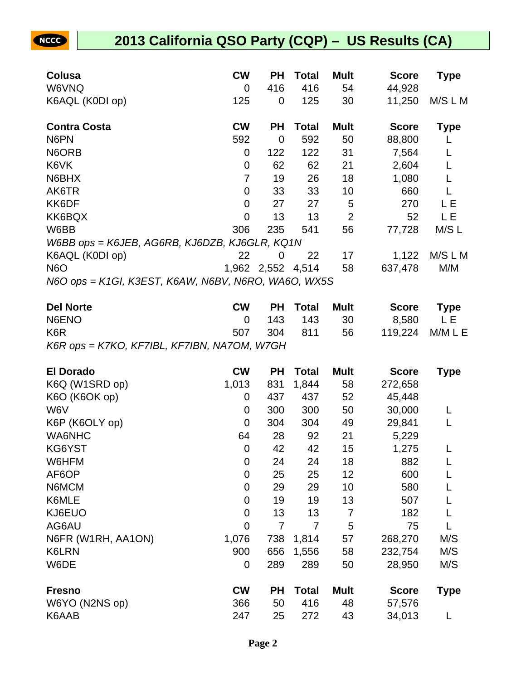| Colusa                                              | CW          | <b>PH</b>   | <b>Total</b> | <b>Mult</b>    | <b>Score</b> | <b>Type</b> |
|-----------------------------------------------------|-------------|-------------|--------------|----------------|--------------|-------------|
| W6VNQ                                               | 0           | 416         | 416          | 54             | 44,928       |             |
| K6AQL (K0DI op)                                     | 125         | 0           | 125          | 30             | 11,250       | M/S L M     |
| <b>Contra Costa</b>                                 | <b>CW</b>   | <b>PH</b>   | <b>Total</b> | <b>Mult</b>    | <b>Score</b> | <b>Type</b> |
| N6PN                                                | 592         | 0           | 592          | 50             | 88,800       |             |
| N6ORB                                               | 0           | 122         | 122          | 31             | 7,564        |             |
| K6VK                                                | $\mathbf 0$ | 62          | 62           | 21             | 2,604        |             |
| N6BHX                                               | 7           | 19          | 26           | 18             | 1,080        |             |
| AK6TR                                               | $\mathbf 0$ | 33          | 33           | 10             | 660          |             |
| KK6DF                                               | $\mathbf 0$ | 27          | 27           | 5              | 270          | LΕ          |
| KK6BQX                                              | 0           | 13          | 13           | $\overline{2}$ | 52           | LЕ          |
| W6BB                                                | 306         | 235         | 541          | 56             | 77,728       | M/S L       |
| W6BB ops = K6JEB, AG6RB, KJ6DZB, KJ6GLR, KQ1N       |             |             |              |                |              |             |
| K6AQL (K0DI op)                                     | 22          | 0           | 22           | 17             | 1,122        | M/S L M     |
| <b>N6O</b>                                          | 1,962       | 2,552 4,514 |              | 58             | 637,478      | M/M         |
| N6O ops = K1GI, K3EST, K6AW, N6BV, N6RO, WA6O, WX5S |             |             |              |                |              |             |

| <b>Del Norte</b>                            | СW       | <b>PH</b> Total | Mult | <b>Score</b>    | Type     |
|---------------------------------------------|----------|-----------------|------|-----------------|----------|
| N6ENO                                       | $\Omega$ | 143 143 30      |      |                 | 8.580 LE |
| K <sub>6</sub> R                            |          | 507 304 811 56  |      | 119,224 M/M L E |          |
| K6R ops = K7KO, KF7IBL, KF7IBN, NA7OM, W7GH |          |                 |      |                 |          |

| <b>El Dorado</b>   | <b>CW</b>   | <b>PH</b> | <b>Total</b> | <b>Mult</b>    | <b>Score</b> | <b>Type</b> |
|--------------------|-------------|-----------|--------------|----------------|--------------|-------------|
| K6Q (W1SRD op)     | 1,013       | 831       | 1,844        | 58             | 272,658      |             |
| K6O (K6OK op)      | 0           | 437       | 437          | 52             | 45,448       |             |
| W6V                | 0           | 300       | 300          | 50             | 30,000       |             |
| K6P (K6OLY op)     | $\mathbf 0$ | 304       | 304          | 49             | 29,841       |             |
| <b>WA6NHC</b>      | 64          | 28        | 92           | 21             | 5,229        |             |
| KG6YST             | 0           | 42        | 42           | 15             | 1,275        |             |
| W6HFM              | 0           | 24        | 24           | 18             | 882          |             |
| AF6OP              | 0           | 25        | 25           | 12             | 600          |             |
| N6MCM              | 0           | 29        | 29           | 10             | 580          |             |
| K6MLE              | 0           | 19        | 19           | 13             | 507          |             |
| KJ6EUO             | 0           | 13        | 13           | $\overline{7}$ | 182          |             |
| AG6AU              | 0           | 7         | 7            | 5              | 75           |             |
| N6FR (W1RH, AA1ON) | 1,076       | 738       | 1,814        | 57             | 268,270      | M/S         |
| <b>K6LRN</b>       | 900         | 656       | 1,556        | 58             | 232,754      | M/S         |
| W6DE               | 0           | 289       | 289          | 50             | 28,950       | M/S         |
| <b>Fresno</b>      | <b>CW</b>   | PН        | <b>Total</b> | <b>Mult</b>    | <b>Score</b> | <b>Type</b> |
| W6YO (N2NS op)     | 366         | 50        | 416          | 48             | 57,576       |             |
| K6AAB              | 247         | 25        | 272          | 43             | 34,013       |             |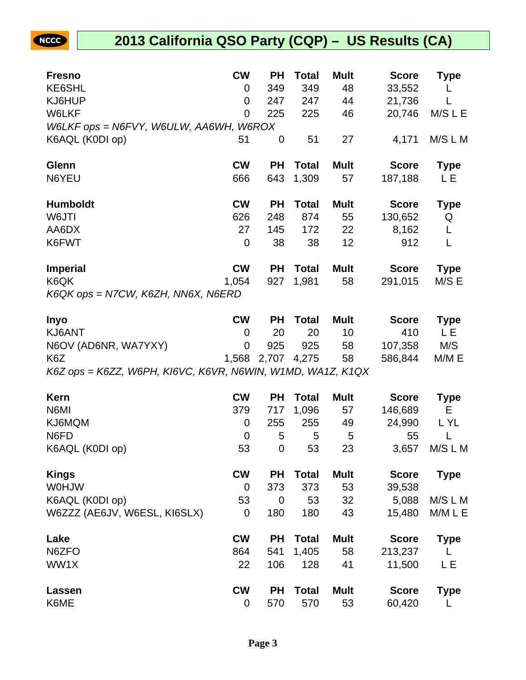| <b>Fresno</b>                                              | <b>CW</b>      | <b>PH</b> | Total        | <b>Mult</b> | <b>Score</b> | <b>Type</b> |
|------------------------------------------------------------|----------------|-----------|--------------|-------------|--------------|-------------|
| KE6SHL                                                     | 0              | 349       | 349          | 48          | 33,552       |             |
| KJ6HUP                                                     | $\overline{0}$ | 247       | 247          | 44          | 21,736       |             |
| W6LKF                                                      | 0              | 225       | 225          | 46          | 20,746       | M/S L E     |
| W6LKF ops = N6FVY, W6ULW, AA6WH, W6ROX                     |                |           |              |             |              |             |
| K6AQL (K0DI op)                                            | 51             | 0         | 51           | 27          | 4,171        | M/S L M     |
| Glenn                                                      | <b>CW</b>      | <b>PH</b> | <b>Total</b> | <b>Mult</b> | <b>Score</b> | <b>Type</b> |
| N6YEU                                                      | 666            | 643       | 1,309        | 57          | 187,188      | LЕ          |
| <b>Humboldt</b>                                            | <b>CW</b>      | <b>PH</b> | <b>Total</b> | <b>Mult</b> | <b>Score</b> | <b>Type</b> |
| W6JTI                                                      | 626            | 248       | 874          | 55          | 130,652      | Q           |
| AA6DX                                                      | 27             | 145       | 172          | 22          | 8,162        | L           |
| K6FWT                                                      | 0              | 38        | 38           | 12          | 912          | L           |
| <b>Imperial</b>                                            | <b>CW</b>      | <b>PH</b> | <b>Total</b> | <b>Mult</b> | <b>Score</b> | <b>Type</b> |
| K6QK                                                       | 1,054          | 927       | 1,981        | 58          | 291,015      | M/S E       |
| K6QK ops = N7CW, K6ZH, NN6X, N6ERD                         |                |           |              |             |              |             |
| <b>Inyo</b>                                                | <b>CW</b>      | <b>PH</b> | <b>Total</b> | <b>Mult</b> | <b>Score</b> | Type        |
| KJ6ANT                                                     | $\overline{0}$ | 20        | 20           | 10          | 410          | L E         |
| N6OV (AD6NR, WA7YXY)                                       | $\overline{0}$ | 925       | 925          | 58          | 107,358      | M/S         |
| K <sub>6</sub> Z                                           | 1,568          | 2,707     | 4,275        | 58          | 586,844      | M/M E       |
| K6Z ops = K6ZZ, W6PH, KI6VC, K6VR, N6WIN, W1MD, WA1Z, K1QX |                |           |              |             |              |             |

| <b>Kern</b>                  | <b>CW</b>   | <b>PH</b> | <b>Total</b> | <b>Mult</b> | <b>Score</b> | <b>Type</b> |
|------------------------------|-------------|-----------|--------------|-------------|--------------|-------------|
| N6MI                         | 379         | 717       | 1,096        | 57          | 146,689      | Е           |
| KJ6MQM                       | 0           | 255       | 255          | 49          | 24,990       | L YL        |
| N6FD                         | 0           | 5         | 5            | 5           | 55           |             |
| K6AQL (K0DI op)              | 53          | 0         | 53           | 23          | 3,657        | M/S L M     |
| <b>Kings</b>                 | <b>CW</b>   | <b>PH</b> | Total        | <b>Mult</b> | <b>Score</b> | <b>Type</b> |
| <b>WOHJW</b>                 | 0           | 373       | 373          | 53          | 39,538       |             |
| K6AQL (K0DI op)              | 53          | 0         | 53           | 32          | 5,088        | M/S L M     |
| W6ZZZ (AE6JV, W6ESL, KI6SLX) | 0           | 180       | 180          | 43          | 15,480       | M/M L E     |
| Lake                         | <b>CW</b>   | <b>PH</b> | <b>Total</b> | <b>Mult</b> | <b>Score</b> | <b>Type</b> |
| N6ZFO                        | 864         | 541       | 1,405        | 58          | 213,237      |             |
| WW1X                         | 22          | 106       | 128          | 41          | 11,500       | L E         |
| Lassen                       | <b>CW</b>   | <b>PH</b> | Total        | <b>Mult</b> | <b>Score</b> | <b>Type</b> |
| K6ME                         | $\mathbf 0$ | 570       | 570          | 53          | 60,420       |             |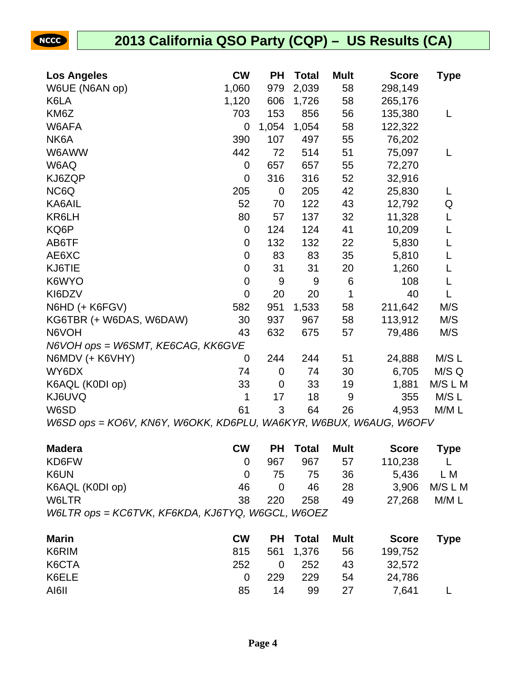| <b>Los Angeles</b>                                                | <b>CW</b>      | <b>PH</b>   | <b>Total</b> | <b>Mult</b> | <b>Score</b> | Type    |
|-------------------------------------------------------------------|----------------|-------------|--------------|-------------|--------------|---------|
| W6UE (N6AN op)                                                    | 1,060          | 979         | 2,039        | 58          | 298,149      |         |
| K6LA                                                              | 1,120          | 606         | 1,726        | 58          | 265,176      |         |
| KM6Z                                                              | 703            | 153         | 856          | 56          | 135,380      | L       |
| W6AFA                                                             | 0              | 1,054       | 1,054        | 58          | 122,322      |         |
| NK6A                                                              | 390            | 107         | 497          | 55          | 76,202       |         |
| W6AWW                                                             | 442            | 72          | 514          | 51          | 75,097       | L       |
| W6AQ                                                              | 0              | 657         | 657          | 55          | 72,270       |         |
| KJ6ZQP                                                            | $\overline{0}$ | 316         | 316          | 52          | 32,916       |         |
| NC6Q                                                              | 205            | $\mathbf 0$ | 205          | 42          | 25,830       | L       |
| KA6AIL                                                            | 52             | 70          | 122          | 43          | 12,792       | Q       |
| KR6LH                                                             | 80             | 57          | 137          | 32          | 11,328       | L       |
| KQ6P                                                              | $\mathbf 0$    | 124         | 124          | 41          | 10,209       | L       |
| AB6TF                                                             | $\overline{0}$ | 132         | 132          | 22          | 5,830        | L       |
| AE6XC                                                             | $\mathbf 0$    | 83          | 83           | 35          | 5,810        |         |
| KJ6TIE                                                            | $\mathbf 0$    | 31          | 31           | 20          | 1,260        | L       |
| K6WYO                                                             | $\mathbf 0$    | 9           | 9            | $\,6$       | 108          | L       |
| KI6DZV                                                            | $\overline{0}$ | 20          | 20           | 1           | 40           | L       |
| N6HD (+ K6FGV)                                                    | 582            | 951         | 1,533        | 58          | 211,642      | M/S     |
| KG6TBR (+ W6DAS, W6DAW)                                           | 30             | 937         | 967          | 58          | 113,912      | M/S     |
| N6VOH                                                             | 43             | 632         | 675          | 57          | 79,486       | M/S     |
| N6VOH ops = W6SMT, KE6CAG, KK6GVE                                 |                |             |              |             |              |         |
| N6MDV (+ K6VHY)                                                   | $\overline{0}$ | 244         | 244          | 51          | 24,888       | M/S L   |
| WY6DX                                                             | 74             | $\mathbf 0$ | 74           | 30          | 6,705        | M/S Q   |
| K6AQL (K0DI op)                                                   | 33             | 0           | 33           | 19          | 1,881        | M/S L M |
| KJ6UVQ                                                            | 1              | 17          | 18           | 9           | 355          | M/S L   |
| W6SD                                                              | 61             | 3           | 64           | 26          | 4,953        | M/M L   |
| W6SD ops = KO6V, KN6Y, W6OKK, KD6PLU, WA6KYR, W6BUX, W6AUG, W6OFV |                |             |              |             |              |         |

| <b>Madera</b>                                                       | <b>CW</b> |     | <b>PH</b> Total | <b>Mult</b> | <b>Score</b> | <b>Type</b> |
|---------------------------------------------------------------------|-----------|-----|-----------------|-------------|--------------|-------------|
| KD6FW                                                               |           | 967 | 967             | 57          | 110,238      |             |
| K6UN                                                                | $\Omega$  | 75  | 75              | 36          | 5.436        | L M         |
| K6AQL (K0DI op)                                                     | 46        |     | 46              | 28          | 3.906        | M/S L M     |
| W6LTR                                                               | 38        | 220 | 258             | 49          | 27.268       | M/M L       |
| $W$ al TR $\rho$ ns – KC at $V$ K KE aKDA KI at $V$ O WAGC U WAO EZ |           |     |                 |             |              |             |

| <b>Marin</b> | <b>CW</b> |     | PH Total  | <b>Mult</b> | <b>Score</b> | <b>Type</b> |
|--------------|-----------|-----|-----------|-------------|--------------|-------------|
| K6RIM        | 815       |     | 561 1,376 | 56          | 199,752      |             |
| K6CTA        | 252       | 0   | 252       | 43          | 32,572       |             |
| K6ELE        |           | 229 | 229       | 54          | 24,786       |             |
| AI6II        | 85        | 14  | 99        | 27          | 7.641        |             |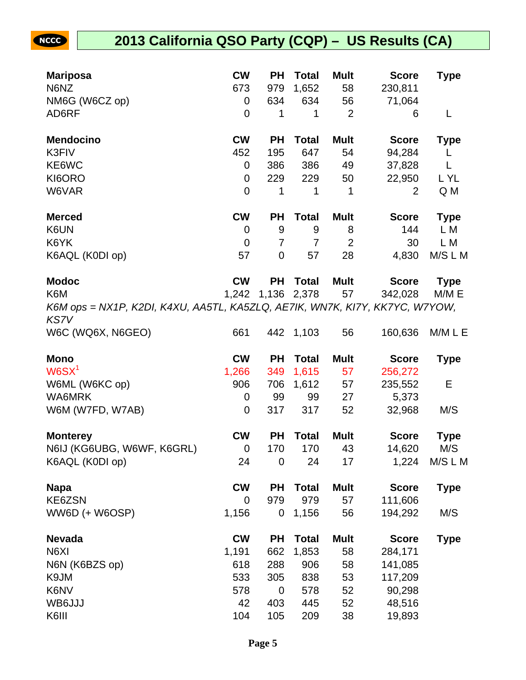| <b>Mariposa</b>                                                                            | <b>CW</b>      | <b>PH</b>   | <b>Total</b> | <b>Mult</b>    | <b>Score</b>     | <b>Type</b> |
|--------------------------------------------------------------------------------------------|----------------|-------------|--------------|----------------|------------------|-------------|
| N6NZ                                                                                       | 673            | 979         | 1,652        | 58             | 230,811          |             |
| NM6G (W6CZ op)                                                                             | 0              | 634         | 634          | 56             | 71,064           |             |
| AD6RF                                                                                      | $\overline{0}$ | 1           | 1            | $\overline{2}$ | 6                | L           |
| <b>Mendocino</b>                                                                           | <b>CW</b>      | <b>PH</b>   | <b>Total</b> | <b>Mult</b>    | <b>Score</b>     | <b>Type</b> |
| K3FIV                                                                                      | 452            | 195         | 647          | 54             | 94,284           | L           |
| KE6WC                                                                                      | 0              | 386         | 386          | 49             | 37,828           | L           |
| KI6ORO                                                                                     | 0              | 229         | 229          | 50             | 22,950           | L YL        |
| W6VAR                                                                                      | $\overline{0}$ | 1           | 1            | $\mathbf 1$    | 2                | Q M         |
| <b>Merced</b>                                                                              | <b>CW</b>      | <b>PH</b>   | <b>Total</b> | <b>Mult</b>    | <b>Score</b>     | <b>Type</b> |
| K6UN                                                                                       | 0              | 9           | 9            | 8              | 144              | L M         |
| K6YK                                                                                       | 0              | 7           | 7            | $\overline{2}$ | 30               | L M         |
| K6AQL (K0DI op)                                                                            | 57             | $\mathbf 0$ | 57           | 28             | 4,830            | M/S L M     |
| <b>Modoc</b>                                                                               | <b>CW</b>      | <b>PH</b>   | <b>Total</b> | <b>Mult</b>    | <b>Score</b>     | <b>Type</b> |
| K6M                                                                                        | 1,242          |             | 1,136 2,378  | 57             | 342,028          | M/M E       |
| K6M ops = NX1P, K2DI, K4XU, AA5TL, KA5ZLQ, AE7IK, WN7K, KI7Y, KK7YC, W7YOW,<br><b>KS7V</b> |                |             |              |                |                  |             |
| W6C (WQ6X, N6GEO)                                                                          | 661            |             | 442 1,103    | 56             | 160,636          | M/M L E     |
|                                                                                            |                |             |              |                |                  |             |
| <b>Mono</b>                                                                                | <b>CW</b>      | <b>PH</b>   | <b>Total</b> | <b>Mult</b>    | <b>Score</b>     | <b>Type</b> |
| W6SX <sup>1</sup>                                                                          | 1,266          | 349         | 1,615        | 57             | 256,272          |             |
| W6ML (W6KC op)                                                                             | 906            | 706         | 1,612        | 57             | 235,552          | Е           |
| <b>WA6MRK</b>                                                                              | 0              | 99          | 99           | 27             | 5,373            |             |
| W6M (W7FD, W7AB)                                                                           | 0              | 317         | 317          | 52             | 32,968           | M/S         |
| <b>Monterey</b>                                                                            | <b>CW</b>      | <b>PH</b>   | <b>Total</b> | <b>Mult</b>    | <b>Score</b>     | <b>Type</b> |
| N6IJ (KG6UBG, W6WF, K6GRL)                                                                 | 0              | 170         | 170          | 43             | 14,620           | M/S         |
| K6AQL (K0DI op)                                                                            | 24             | 0           | 24           | 17             | 1,224            | M/S L M     |
| <b>Napa</b>                                                                                | <b>CW</b>      | <b>PH</b>   | <b>Total</b> | <b>Mult</b>    | <b>Score</b>     | <b>Type</b> |
| KE6ZSN                                                                                     | $\overline{0}$ | 979         | 979          | 57             | 111,606          |             |
| WW6D (+ W6OSP)                                                                             | 1,156          | 0           | 1,156        | 56             | 194,292          | M/S         |
| <b>Nevada</b>                                                                              | <b>CW</b>      | <b>PH</b>   | <b>Total</b> | <b>Mult</b>    | <b>Score</b>     | <b>Type</b> |
| N6XI                                                                                       | 1,191          | 662         | 1,853        | 58             | 284,171          |             |
| N6N (K6BZS op)                                                                             | 618            | 288         | 906          | 58             | 141,085          |             |
| K9JM                                                                                       | 533            | 305         | 838          | 53             | 117,209          |             |
| K6NV                                                                                       | 578            | 0           | 578          | 52             | 90,298           |             |
| WB6JJJ<br>K6III                                                                            | 42<br>104      | 403<br>105  | 445<br>209   | 52<br>38       | 48,516<br>19,893 |             |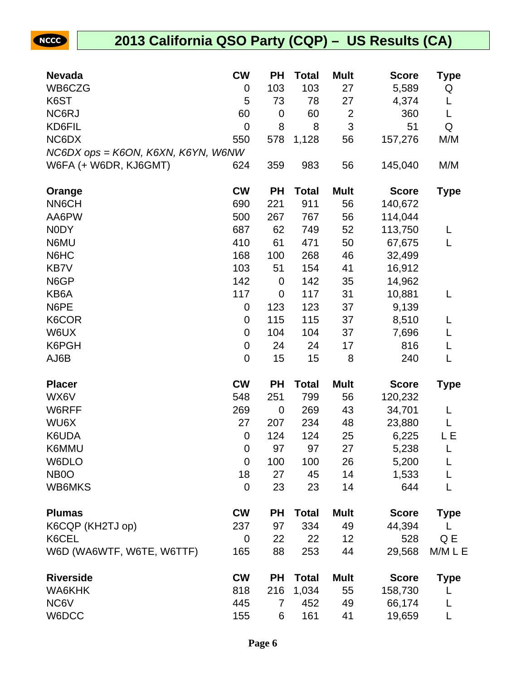| <b>Nevada</b>                      | <b>CW</b>        | <b>PH</b>   | <b>Total</b> | <b>Mult</b>    | <b>Score</b> | Type        |
|------------------------------------|------------------|-------------|--------------|----------------|--------------|-------------|
| WB6CZG                             | 0                | 103         | 103          | 27             | 5,589        | Q           |
| K6ST                               | 5                | 73          | 78           | 27             | 4,374        | L           |
| NC6RJ                              | 60               | 0           | 60           | $\overline{2}$ | 360          | L           |
| KD6FIL                             | $\mathbf 0$      | 8           | 8            | 3              | 51           | Q           |
| NC6DX                              | 550              | 578         | 1,128        | 56             | 157,276      | M/M         |
| NC6DX ops = K6ON, K6XN, K6YN, W6NW |                  |             |              |                |              |             |
| W6FA (+ W6DR, KJ6GMT)              | 624              | 359         | 983          | 56             | 145,040      | M/M         |
| Orange                             | <b>CW</b>        | <b>PH</b>   | <b>Total</b> | <b>Mult</b>    | <b>Score</b> | <b>Type</b> |
| <b>NN6CH</b>                       | 690              | 221         | 911          | 56             | 140,672      |             |
| AA6PW                              | 500              | 267         | 767          | 56             | 114,044      |             |
| <b>NODY</b>                        | 687              | 62          | 749          | 52             | 113,750      | L           |
| N6MU                               | 410              | 61          | 471          | 50             | 67,675       | L           |
| N6HC                               | 168              | 100         | 268          | 46             | 32,499       |             |
| KB7V                               | 103              | 51          | 154          | 41             | 16,912       |             |
| N6GP                               | 142              | $\mathbf 0$ | 142          | 35             | 14,962       |             |
| KB6A                               | 117              | $\mathbf 0$ | 117          | 31             | 10,881       | L           |
| N6PE                               | $\boldsymbol{0}$ | 123         | 123          | 37             | 9,139        |             |
| K6COR                              | 0                | 115         | 115          | 37             | 8,510        |             |
| W6UX                               | $\mathbf 0$      | 104         | 104          | 37             | 7,696        | L           |
| K6PGH                              | $\boldsymbol{0}$ | 24          | 24           | 17             | 816          | L           |
| AJ6B                               | $\mathbf 0$      | 15          | 15           | 8              | 240          | L           |
| <b>Placer</b>                      | <b>CW</b>        | <b>PH</b>   | <b>Total</b> | <b>Mult</b>    | <b>Score</b> | <b>Type</b> |
| WX6V                               | 548              | 251         | 799          | 56             | 120,232      |             |
| W6RFF                              | 269              | $\mathbf 0$ | 269          | 43             | 34,701       | L           |
| WU6X                               | 27               | 207         | 234          | 48             | 23,880       | L           |
| K6UDA                              | $\mathbf 0$      | 124         | 124          | 25             | 6,225        | LЕ          |
| K6MMU                              | $\overline{0}$   | 97          | 97           | 27             | 5,238        | L           |
| W6DLO                              | $\mathbf 0$      | 100         | 100          | 26             | 5,200        | L           |
| NB <sub>0</sub>                    | 18               | 27          | 45           | 14             | 1,533        | L           |
| WB6MKS                             | $\mathbf 0$      | 23          | 23           | 14             | 644          | L           |
| <b>Plumas</b>                      | <b>CW</b>        | <b>PH</b>   | <b>Total</b> | <b>Mult</b>    | <b>Score</b> | <b>Type</b> |
| K6CQP (KH2TJ op)                   | 237              | 97          | 334          | 49             | 44,394       |             |
| K6CEL                              | 0                | 22          | 22           | 12             | 528          | Q E         |
| W6D (WA6WTF, W6TE, W6TTF)          | 165              | 88          | 253          | 44             | 29,568       | M/M L E     |
| <b>Riverside</b>                   | <b>CW</b>        | <b>PH</b>   | <b>Total</b> | <b>Mult</b>    | <b>Score</b> | <b>Type</b> |
| WA6KHK                             | 818              | 216         | 1,034        | 55             | 158,730      |             |
| NC6V                               | 445              | 7           | 452          | 49             | 66,174       |             |
| W6DCC                              | 155              | 6           | 161          | 41             | 19,659       | L           |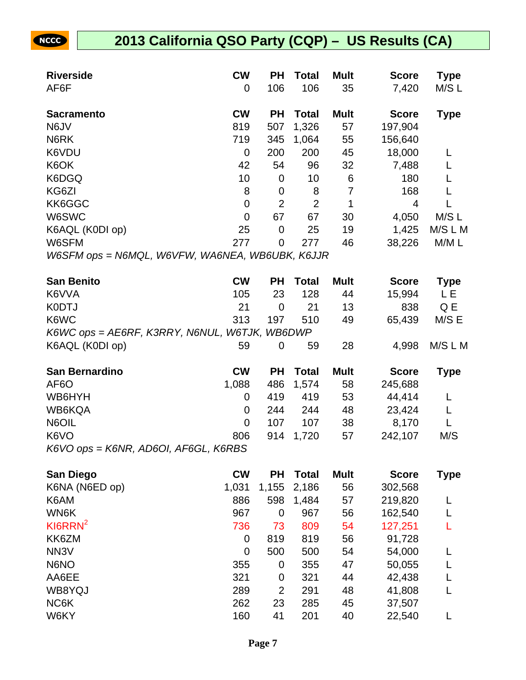| <b>Riverside</b>                                | <b>CW</b>      | РH               | Total          | <b>Mult</b> | <b>Score</b> | <b>Type</b> |
|-------------------------------------------------|----------------|------------------|----------------|-------------|--------------|-------------|
| AF6F                                            | 0              | 106              | 106            | 35          | 7,420        | M/SL        |
| <b>Sacramento</b>                               | <b>CW</b>      | ΡH               | <b>Total</b>   | <b>Mult</b> | <b>Score</b> | <b>Type</b> |
| N6JV                                            | 819            | 507              | 1,326          | 57          | 197,904      |             |
| N6RK                                            | 719            | 345              | 1,064          | 55          | 156,640      |             |
| K6VDU                                           | $\mathbf 0$    | 200              | 200            | 45          | 18,000       | L           |
| K6OK                                            | 42             | 54               | 96             | 32          | 7,488        |             |
| K6DGQ                                           | 10             | $\boldsymbol{0}$ | 10             | 6           | 180          |             |
| KG6ZI                                           | 8              | $\mathbf 0$      | 8              | 7           | 168          |             |
| KK6GGC                                          | $\mathbf 0$    | $\overline{2}$   | $\overline{2}$ | 1           | 4            | L           |
| W6SWC                                           | $\overline{0}$ | 67               | 67             | 30          | 4,050        | M/SL        |
| K6AQL (K0DI op)                                 | 25             | $\mathbf 0$      | 25             | 19          | 1,425        | M/S L M     |
| W6SFM                                           | 277            | $\overline{0}$   | 277            | 46          | 38,226       | M/M L       |
| W6SFM ops = N6MQL, W6VFW, WA6NEA, WB6UBK, K6JJR |                |                  |                |             |              |             |
| <b>San Benito</b>                               | <b>CW</b>      | РH               | <b>Total</b>   | <b>Mult</b> | <b>Score</b> | <b>Type</b> |
| K6VVA                                           | 105            | 23               | 128            | 44          | 15,994       | LΕ          |
| <b>K0DTJ</b>                                    | 21             | $\mathbf 0$      | 21             | 13          | 838          | Q E         |
| K6WC                                            | 313            | 197              | 510            | 49          | 65,439       | M/S E       |
| K6WC ops = AE6RF, K3RRY, N6NUL, W6TJK, WB6DWP   |                |                  |                |             |              |             |
| K6AQL (K0DI op)                                 | 59             | 0                | 59             | 28          | 4,998        | M/S L M     |
| <b>San Bernardino</b>                           | <b>CW</b>      | PH               | <b>Total</b>   | <b>Mult</b> | <b>Score</b> | <b>Type</b> |
| AF <sub>6</sub> O                               | 1,088          | 486              | 1,574          | 58          | 245,688      |             |
| WB6HYH                                          | 0              | 419              | 419            | 53          | 44,414       | L           |
| WB6KQA                                          | 0              | 244              | 244            | 48          | 23,424       | L           |
| N6OIL                                           | $\overline{0}$ | 107              | 107            | 38          | 8,170        | L           |
| K6VO                                            | 806            | 914              | 1,720          | 57          | 242,107      | M/S         |
| K6VO ops = K6NR, AD6OI, AF6GL, K6RBS            |                |                  |                |             |              |             |
| <b>San Diego</b>                                | <b>CW</b>      | PH               | <b>Total</b>   | <b>Mult</b> | <b>Score</b> | <b>Type</b> |
| K6NA (N6ED op)                                  | 1,031          | 1,155            | 2,186          | 56          | 302,568      |             |
| K6AM                                            | 886            | 598              | 1,484          | 57          | 219,820      |             |
| WN6K                                            | 967            | $\overline{0}$   | 967            | 56          | 162,540      | L           |
| $K$ I6RRN <sup>2</sup>                          | 736            | 73               | 809            | 54          | 127,251      |             |
| KK6ZM                                           | $\mathbf 0$    | 819              | 819            | 56          | 91,728       |             |
| NN <sub>3</sub> V                               | $\overline{0}$ | 500              | 500            | 54          | 54,000       |             |
| N6NO                                            | 355            | 0                | 355            | 47          | 50,055       |             |
| AA6EE                                           | 321            | 0                | 321            | 44          | 42,438       |             |
| WB8YQJ                                          | 289            | $\overline{2}$   | 291            | 48          | 41,808       | L           |
| NC6K                                            | 262            | 23               | 285            | 45          | 37,507       |             |
| W6KY                                            | 160            | 41               | 201            | 40          | 22,540       | L           |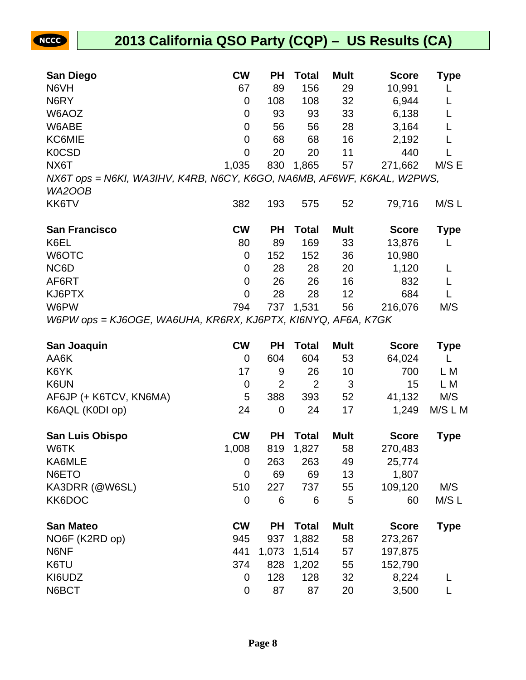

| <b>San Diego</b>                                                       | <b>CW</b>      | <b>PH</b>      | <b>Total</b>   | <b>Mult</b> | <b>Score</b> | Type        |
|------------------------------------------------------------------------|----------------|----------------|----------------|-------------|--------------|-------------|
| N6VH                                                                   | 67             | 89             | 156            | 29          | 10,991       | L           |
| N6RY                                                                   | 0              | 108            | 108            | 32          | 6,944        | L           |
| W6AOZ                                                                  | 0              | 93             | 93             | 33          | 6,138        | L           |
| W6ABE                                                                  | 0              | 56             | 56             | 28          | 3,164        | L           |
| KC6MIE                                                                 | 0              | 68             | 68             | 16          | 2,192        | L           |
| <b>K0CSD</b>                                                           | 0              | 20             | 20             | 11          | 440          |             |
| NX6T                                                                   | 1,035          | 830            | 1,865          | 57          | 271,662      | M/S E       |
| NX6T ops = N6KI, WA3IHV, K4RB, N6CY, K6GO, NA6MB, AF6WF, K6KAL, W2PWS, |                |                |                |             |              |             |
| WA2OOB                                                                 |                |                |                |             |              |             |
| KK6TV                                                                  | 382            | 193            | 575            | 52          | 79,716       | M/SL        |
| <b>San Francisco</b>                                                   | <b>CW</b>      | <b>PH</b>      | <b>Total</b>   | <b>Mult</b> | <b>Score</b> | <b>Type</b> |
| K6EL                                                                   | 80             | 89             | 169            | 33          | 13,876       | L           |
| W6OTC                                                                  | 0              | 152            | 152            | 36          | 10,980       |             |
| NC6D                                                                   | 0              | 28             | 28             | 20          | 1,120        | L           |
| AF6RT                                                                  | $\overline{0}$ | 26             | 26             | 16          | 832          | L           |
| KJ6PTX                                                                 | $\mathbf 0$    | 28             | 28             | 12          | 684          | L           |
| W6PW                                                                   | 794            | 737            | 1,531          | 56          | 216,076      | M/S         |
| W6PW ops = KJ6OGE, WA6UHA, KR6RX, KJ6PTX, KI6NYQ, AF6A, K7GK           |                |                |                |             |              |             |
| San Joaquin                                                            | <b>CW</b>      | <b>PH</b>      | <b>Total</b>   | <b>Mult</b> | <b>Score</b> | <b>Type</b> |
| AA6K                                                                   | 0              | 604            | 604            | 53          | 64,024       | L           |
| K6YK                                                                   | 17             | 9              | 26             | 10          | 700          | L M         |
| K6UN                                                                   | 0              | $\overline{2}$ | $\overline{2}$ | 3           | 15           | L M         |
| AF6JP (+ K6TCV, KN6MA)                                                 | 5              | 388            | 393            | 52          | 41,132       | M/S         |
| K6AQL (K0DI op)                                                        | 24             | $\mathbf 0$    | 24             | 17          | 1,249        | M/S L M     |
| <b>San Luis Obispo</b>                                                 | <b>CW</b>      | <b>PH</b>      | <b>Total</b>   | <b>Mult</b> | <b>Score</b> | <b>Type</b> |
| W6TK                                                                   | 1,008          | 819            | 1,827          | 58          | 270,483      |             |
| KA6MLE                                                                 | 0              | 263            | 263            | 49          | 25,774       |             |
| N6ETO                                                                  | $\overline{0}$ | 69             | 69             | 13          | 1,807        |             |
| KA3DRR (@W6SL)                                                         | 510            |                |                | 55          | 109,120      |             |
| KK6DOC                                                                 |                | 227            | 737            |             |              | M/S         |
|                                                                        | 0              | 6              | 6              | 5           | 60           | M/S L       |
| <b>San Mateo</b>                                                       | <b>CW</b>      | <b>PH</b>      | <b>Total</b>   | <b>Mult</b> | <b>Score</b> | <b>Type</b> |
| NO6F (K2RD op)                                                         | 945            | 937            | 1,882          | 58          | 273,267      |             |
| N6NF                                                                   | 441            | 1,073          | 1,514          | 57          | 197,875      |             |
| K6TU                                                                   | 374            | 828            | 1,202          | 55          | 152,790      |             |
| KI6UDZ<br>N6BCT                                                        | 0              | 128            | 128            | 32          | 8,224        | L           |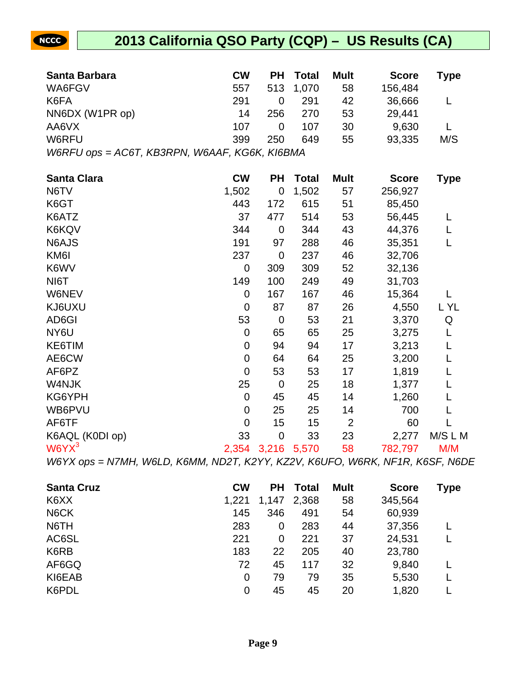

| Santa Barbara                                 | <b>CW</b>                 | <b>PH</b>           | <b>Total</b> | <b>Mult</b>    | <b>Score</b>     | <b>Type</b> |
|-----------------------------------------------|---------------------------|---------------------|--------------|----------------|------------------|-------------|
| WA6FGV                                        | 557                       | 513                 | 1,070        | 58             | 156,484          |             |
| K6FA                                          | 291                       | $\mathbf 0$         | 291          | 42             | 36,666           | L           |
| NN6DX (W1PR op)                               | 14                        | 256                 | 270          | 53             | 29,441           |             |
| AA6VX                                         | 107                       | 0                   | 107          | 30             | 9,630            | L           |
| W6RFU                                         | 399                       | 250                 | 649          | 55             | 93,335           | M/S         |
| W6RFU ops = AC6T, KB3RPN, W6AAF, KG6K, KI6BMA |                           |                     |              |                |                  |             |
|                                               |                           |                     |              |                |                  |             |
| <b>Santa Clara</b>                            | <b>CW</b>                 | <b>PH</b>           | <b>Total</b> | <b>Mult</b>    | <b>Score</b>     | <b>Type</b> |
| N6TV                                          | 1,502                     | $\overline{0}$      | 1,502        | 57             | 256,927          |             |
| K6GT                                          | 443                       | 172                 | 615          | 51             | 85,450           |             |
| K6ATZ                                         | 37                        | 477                 | 514          | 53             | 56,445           | L           |
| K6KQV                                         | 344                       | $\overline{0}$      | 344          | 43             | 44,376           | L           |
| N6AJS                                         | 191                       | 97                  | 288          | 46             | 35,351           | L           |
| KM6I                                          | 237                       | $\mathbf 0$         | 237          | 46             | 32,706           |             |
| K6WV                                          | 0                         | 309                 | 309          | 52             | 32,136           |             |
| NI6T                                          | 149                       | 100                 | 249          | 49             | 31,703           |             |
| <b>W6NEV</b>                                  | 0                         | 167                 | 167          | 46             | 15,364           |             |
| KJ6UXU                                        | 0                         | 87                  | 87           | 26             | 4,550            | L YL        |
| AD6GI                                         | 53                        | $\mathbf 0$         | 53           | 21             | 3,370            | Q           |
| NY6U                                          | $\mathbf 0$               | 65                  | 65           | 25             | 3,275            | L           |
| KE6TIM                                        | 0                         | 94                  | 94           | 17             | 3,213            |             |
| AE6CW                                         | 0                         | 64                  | 64           | 25             | 3,200            |             |
| AF6PZ                                         | $\mathbf 0$               | 53                  | 53           | 17             | 1,819            |             |
| W4NJK                                         | 25                        | $\mathbf 0$         | 25           | 18             | 1,377            |             |
| KG6YPH                                        | $\mathbf 0$               | 45                  | 45           | 14             | 1,260            | L           |
| WB6PVU                                        | $\overline{0}$            | 25                  | 25           | 14             | 700              | L           |
| AF6TF                                         | $\mathbf 0$               | 15                  | 15           | $\overline{2}$ | 60               | L           |
| K6AQL (K0DI op)                               | 33                        | $\mathbf 0$         | 33           | 23             | 2,277            | M/S L M     |
| $W6YX^3$                                      |                           | 2,354 3,216         | 5,570        | 58             | 782,797          | M/M         |
| 1110355                                       | $\mathbf{u}$ $\mathbf{v}$ | $\overline{170101}$ | 177011       | $17211 - 2$    | $\left( \right)$ | $1700 -$    |

W6YX ops = N7MH, W6LD, K6MM, ND2T, K2YY, KZ2V, K6UFO, W6RK, NF1R, K6SF, N6DE

| <b>Santa Cruz</b> | <b>CW</b> | <b>PH</b> | <b>Total</b> | <b>Mult</b> | <b>Score</b> | Type |
|-------------------|-----------|-----------|--------------|-------------|--------------|------|
| K6XX              | 1,221     | 1,147     | 2,368        | 58          | 345,564      |      |
| N6CK              | 145       | 346       | 491          | 54          | 60,939       |      |
| N6TH              | 283       | 0         | 283          | 44          | 37,356       |      |
| AC6SL             | 221       | 0         | 221          | 37          | 24,531       |      |
| K6RB              | 183       | 22        | 205          | 40          | 23,780       |      |
| AF6GQ             | 72        | 45        | 117          | 32          | 9,840        |      |
| KI6EAB            | 0         | 79        | 79           | 35          | 5,530        |      |
| K6PDL             | 0         | 45        | 45           | 20          | 1,820        |      |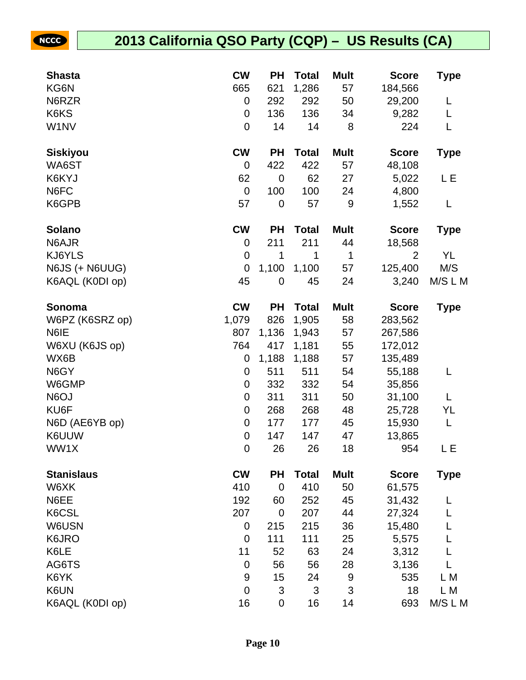| <b>Shasta</b>     | <b>CW</b>        | PН             | <b>Total</b> | <b>Mult</b>               | <b>Score</b>   | <b>Type</b> |
|-------------------|------------------|----------------|--------------|---------------------------|----------------|-------------|
| KG6N              | 665              | 621            | 1,286        | 57                        | 184,566        |             |
| N6RZR             | 0                | 292            | 292          | 50                        | 29,200         | L           |
| K6KS              | $\mathbf 0$      | 136            | 136          | 34                        | 9,282          | L           |
| W1NV              | $\mathbf 0$      | 14             | 14           | 8                         | 224            | L           |
| <b>Siskiyou</b>   | <b>CW</b>        | <b>PH</b>      | <b>Total</b> | <b>Mult</b>               | <b>Score</b>   | <b>Type</b> |
| WA6ST             | $\mathbf 0$      | 422            | 422          | 57                        | 48,108         |             |
| K6KYJ             | 62               | 0              | 62           | 27                        | 5,022          | LЕ          |
| N6FC              | $\mathbf 0$      | 100            | 100          | 24                        | 4,800          |             |
| K6GPB             | 57               | $\mathbf 0$    | 57           | $\boldsymbol{9}$          | 1,552          | L           |
| <b>Solano</b>     | <b>CW</b>        | <b>PH</b>      | <b>Total</b> | <b>Mult</b>               | <b>Score</b>   | <b>Type</b> |
| N6AJR             | 0                | 211            | 211          | 44                        | 18,568         |             |
| KJ6YLS            | $\mathbf 0$      | 1              | 1            | $\mathbf 1$               | $\overline{2}$ | YL          |
| N6JS (+ N6UUG)    | $\mathbf 0$      | 1,100          | 1,100        | 57                        | 125,400        | M/S         |
| K6AQL (K0DI op)   | 45               | 0              | 45           | 24                        | 3,240          | M/S L M     |
| Sonoma            | <b>CW</b>        | <b>PH</b>      | <b>Total</b> | <b>Mult</b>               | <b>Score</b>   | <b>Type</b> |
| W6PZ (K6SRZ op)   | 1,079            | 826            | 1,905        | 58                        | 283,562        |             |
| N6IE              | 807              | 1,136          | 1,943        | 57                        | 267,586        |             |
| W6XU (K6JS op)    | 764              | 417            | 1,181        | 55                        | 172,012        |             |
| WX6B              | 0                | 1,188          | 1,188        | 57                        | 135,489        |             |
| N6GY              | 0                | 511            | 511          | 54                        | 55,188         | L           |
| W6GMP             | $\boldsymbol{0}$ | 332            | 332          | 54                        | 35,856         |             |
| N6OJ              | $\mathbf 0$      | 311            | 311          | 50                        | 31,100         | L           |
| KU6F              | $\mathbf 0$      | 268            | 268          | 48                        | 25,728         | YL          |
| N6D (AE6YB op)    | $\mathbf 0$      | 177            | 177          | 45                        | 15,930         | L           |
| K6UUW             | $\mathbf 0$      | 147            | 147          | 47                        | 13,865         |             |
| WW1X              | $\mathbf 0$      | 26             | 26           | 18                        | 954            | Е           |
| <b>Stanislaus</b> | <b>CW</b>        | PH             | <b>Total</b> | <b>Mult</b>               | <b>Score</b>   | <b>Type</b> |
| W6XK              | 410              | $\mathbf 0$    | 410          | 50                        | 61,575         |             |
| N6EE              | 192              | 60             | 252          | 45                        | 31,432         |             |
| K6CSL             | 207              | $\overline{0}$ | 207          | 44                        | 27,324         |             |
| W6USN             | $\mathbf 0$      | 215            | 215          | 36                        | 15,480         |             |
| K6JRO             | $\mathbf 0$      | 111            | 111          | 25                        | 5,575          |             |
| K6LE              | 11               | 52             | 63           | 24                        | 3,312          |             |
| AG6TS             | $\mathbf 0$      | 56             | 56           | 28                        | 3,136          |             |
| K6YK              | $9$              | 15             | 24           | $9\,$                     | 535            | L M         |
| K6UN              | $\mathbf 0$      | 3              | 3            | $\ensuremath{\mathsf{3}}$ | 18             | L M         |
| K6AQL (K0DI op)   | 16               | 0              | 16           | 14                        | 693            | M/S L M     |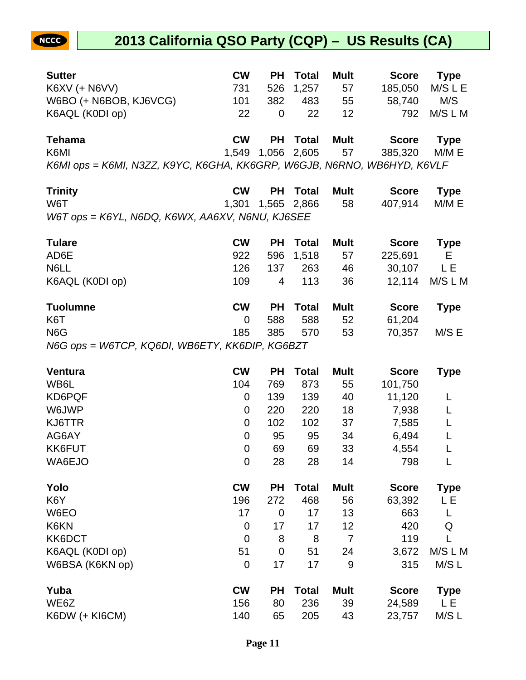#### **2013 California QSO Party (CQP) – US Results (CA)**

| <b>Sutter</b>                                                           | <b>CW</b> |     | <b>PH</b> Total | <b>Mult</b> | <b>Score</b> | <b>Type</b> |
|-------------------------------------------------------------------------|-----------|-----|-----------------|-------------|--------------|-------------|
| <b>K6XV (+ N6VV)</b>                                                    | 731       |     | 526 1,257       | 57          | 185,050      | M/S L E     |
| W6BO (+ N6BOB, KJ6VCG)                                                  | 101       | 382 | 483             | 55          | 58,740       | M/S         |
| K6AQL (K0DI op)                                                         | 22        | 0   | 22              | 12          | 792          | M/S L M     |
| <b>Tehama</b>                                                           | <b>CW</b> |     | <b>PH</b> Total | <b>Mult</b> | <b>Score</b> | <b>Type</b> |
| K6MI                                                                    | 1.549     |     | 1,056 2,605     | 57          | 385,320      | M/M E       |
| K6MI ops = K6MI, N3ZZ, K9YC, K6GHA, KK6GRP, W6GJB, N6RNO, WB6HYD, K6VLF |           |     |                 |             |              |             |

| <b>Trinity</b>                                    | <b>CW</b> | <b>PH Total</b> | Mult | Score Type    |  |
|---------------------------------------------------|-----------|-----------------|------|---------------|--|
| W6T                                               |           |                 | 58   | 407,914 M/M E |  |
| $W6T$ ops = K6YL, N6DQ, K6WX, AA6XV, N6NU, KJ6SEE |           |                 |      |               |  |

| <b>Tulare</b>    | <b>CW</b> | <b>PH</b> | Total        | <b>Mult</b> | <b>Score</b> | <b>Type</b> |
|------------------|-----------|-----------|--------------|-------------|--------------|-------------|
| AD6E             | 922       |           | 596 1,518    | 57          | 225,691      | E.          |
| N6LL             | 126       | 137       | 263          | 46          | 30,107       | L E         |
| K6AQL (K0DI op)  | 109       | 4         | 113          | 36          | 12.114       | M/S L M     |
| <b>Tuolumne</b>  | <b>CW</b> | <b>PH</b> | <b>Total</b> | <b>Mult</b> | <b>Score</b> | <b>Type</b> |
| K <sub>6</sub> T | 0         | 588       | 588          | 52          | 61,204       |             |
| N <sub>6</sub> G | 185       | 385       | 570          | 53          | 70,357       | M/S E       |

N6G ops = W6TCP, KQ6DI, WB6ETY, KK6DIP, KG6BZT

| <b>Ventura</b>        | <b>CW</b>      | <b>PH</b> | Total        | <b>Mult</b> | <b>Score</b> | <b>Type</b> |
|-----------------------|----------------|-----------|--------------|-------------|--------------|-------------|
| WB6L                  | 104            | 769       | 873          | 55          | 101,750      |             |
| KD6PQF                | 0              | 139       | 139          | 40          | 11,120       |             |
| W6JWP                 | 0              | 220       | 220          | 18          | 7,938        |             |
| KJ6TTR                | 0              | 102       | 102          | 37          | 7,585        |             |
| AG6AY                 | 0              | 95        | 95           | 34          | 6,494        |             |
| KK6FUT                | 0              | 69        | 69           | 33          | 4,554        |             |
| WA6EJO                | $\mathbf 0$    | 28        | 28           | 14          | 798          |             |
| Yolo                  | <b>CW</b>      | <b>PH</b> | <b>Total</b> | <b>Mult</b> | <b>Score</b> | <b>Type</b> |
| K <sub>6</sub> Y      | 196            | 272       | 468          | 56          | 63,392       | LЕ          |
| W6EO                  | 17             | 0         | 17           | 13          | 663          | L           |
| K6KN                  | $\mathbf 0$    | 17        | 17           | 12          | 420          | Q           |
| KK6DCT                | $\overline{0}$ | 8         | 8            | 7           | 119          |             |
| K6AQL (K0DI op)       | 51             | 0         | 51           | 24          | 3,672        | M/S L M     |
| W6BSA (K6KN op)       | $\overline{0}$ | 17        | 17           | 9           | 315          | M/S L       |
| Yuba                  | <b>CW</b>      | <b>PH</b> | <b>Total</b> | <b>Mult</b> | <b>Score</b> | <b>Type</b> |
| WE6Z                  | 156            | 80        | 236          | 39          | 24,589       | LЕ          |
| <b>K6DW (+ KI6CM)</b> | 140            | 65        | 205          | 43          | 23,757       | M/S L       |